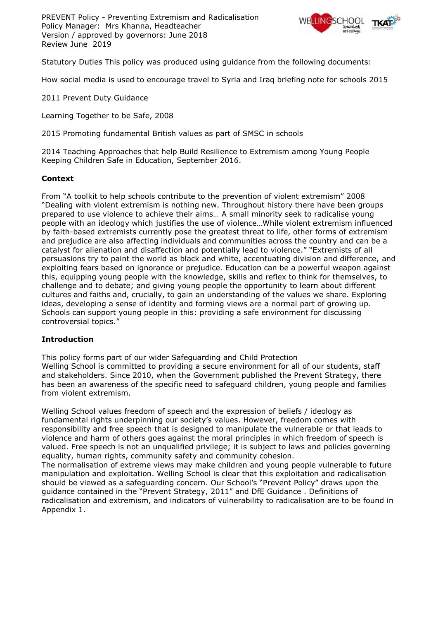PREVENT Policy - Preventing Extremism and Radicalisation Policy Manager: Mrs Khanna, Headteacher Version / approved by governors: June 2018 Review June 2019



Statutory Duties This policy was produced using guidance from the following documents:

How social media is used to encourage travel to Syria and Iraq briefing note for schools 2015

2011 Prevent Duty Guidance

Learning Together to be Safe, 2008

2015 Promoting fundamental British values as part of SMSC in schools

2014 Teaching Approaches that help Build Resilience to Extremism among Young People Keeping Children Safe in Education, September 2016.

#### **Context**

From "A toolkit to help schools contribute to the prevention of violent extremism" 2008 "Dealing with violent extremism is nothing new. Throughout history there have been groups prepared to use violence to achieve their aims… A small minority seek to radicalise young people with an ideology which justifies the use of violence…While violent extremism influenced by faith-based extremists currently pose the greatest threat to life, other forms of extremism and prejudice are also affecting individuals and communities across the country and can be a catalyst for alienation and disaffection and potentially lead to violence." "Extremists of all persuasions try to paint the world as black and white, accentuating division and difference, and exploiting fears based on ignorance or prejudice. Education can be a powerful weapon against this, equipping young people with the knowledge, skills and reflex to think for themselves, to challenge and to debate; and giving young people the opportunity to learn about different cultures and faiths and, crucially, to gain an understanding of the values we share. Exploring ideas, developing a sense of identity and forming views are a normal part of growing up. Schools can support young people in this: providing a safe environment for discussing controversial topics."

# **Introduction**

Appendix 1.

This policy forms part of our wider Safeguarding and Child Protection Welling School is committed to providing a secure environment for all of our students, staff and stakeholders. Since 2010, when the Government published the Prevent Strategy, there has been an awareness of the specific need to safeguard children, young people and families from violent extremism.

Welling School values freedom of speech and the expression of beliefs / ideology as fundamental rights underpinning our society's values. However, freedom comes with responsibility and free speech that is designed to manipulate the vulnerable or that leads to violence and harm of others goes against the moral principles in which freedom of speech is valued. Free speech is not an unqualified privilege; it is subject to laws and policies governing equality, human rights, community safety and community cohesion. The normalisation of extreme views may make children and young people vulnerable to future manipulation and exploitation. Welling School is clear that this exploitation and radicalisation should be viewed as a safeguarding concern. Our School's "Prevent Policy" draws upon the guidance contained in the "Prevent Strategy, 2011" and DfE Guidance . Definitions of radicalisation and extremism, and indicators of vulnerability to radicalisation are to be found in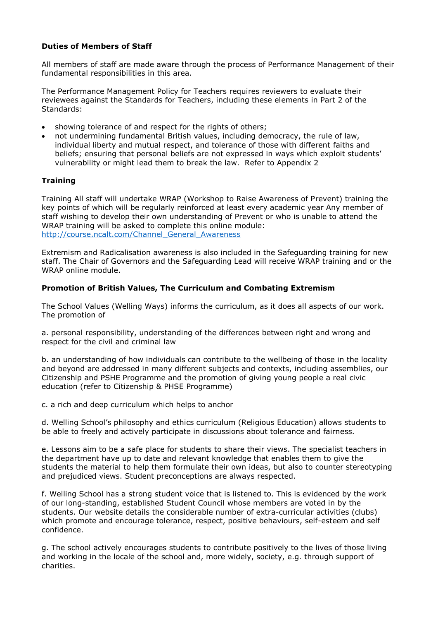## **Duties of Members of Staff**

All members of staff are made aware through the process of Performance Management of their fundamental responsibilities in this area.

The Performance Management Policy for Teachers requires reviewers to evaluate their reviewees against the Standards for Teachers, including these elements in Part 2 of the Standards:

- showing tolerance of and respect for the rights of others;
- not undermining fundamental British values, including democracy, the rule of law, individual liberty and mutual respect, and tolerance of those with different faiths and beliefs; ensuring that personal beliefs are not expressed in ways which exploit students' vulnerability or might lead them to break the law. Refer to Appendix 2

## **Training**

Training All staff will undertake WRAP (Workshop to Raise Awareness of Prevent) training the key points of which will be regularly reinforced at least every academic year Any member of staff wishing to develop their own understanding of Prevent or who is unable to attend the WRAP training will be asked to complete this online module: http://course.ncalt.com/Channel General Awareness

Extremism and Radicalisation awareness is also included in the Safeguarding training for new staff. The Chair of Governors and the Safeguarding Lead will receive WRAP training and or the WRAP online module.

#### **Promotion of British Values, The Curriculum and Combating Extremism**

The School Values (Welling Ways) informs the curriculum, as it does all aspects of our work. The promotion of

a. personal responsibility, understanding of the differences between right and wrong and respect for the civil and criminal law

b. an understanding of how individuals can contribute to the wellbeing of those in the locality and beyond are addressed in many different subjects and contexts, including assemblies, our Citizenship and PSHE Programme and the promotion of giving young people a real civic education (refer to Citizenship & PHSE Programme)

c. a rich and deep curriculum which helps to anchor

d. Welling School's philosophy and ethics curriculum (Religious Education) allows students to be able to freely and actively participate in discussions about tolerance and fairness.

e. Lessons aim to be a safe place for students to share their views. The specialist teachers in the department have up to date and relevant knowledge that enables them to give the students the material to help them formulate their own ideas, but also to counter stereotyping and prejudiced views. Student preconceptions are always respected.

f. Welling School has a strong student voice that is listened to. This is evidenced by the work of our long-standing, established Student Council whose members are voted in by the students. Our website details the considerable number of extra-curricular activities (clubs) which promote and encourage tolerance, respect, positive behaviours, self-esteem and self confidence.

g. The school actively encourages students to contribute positively to the lives of those living and working in the locale of the school and, more widely, society, e.g. through support of charities.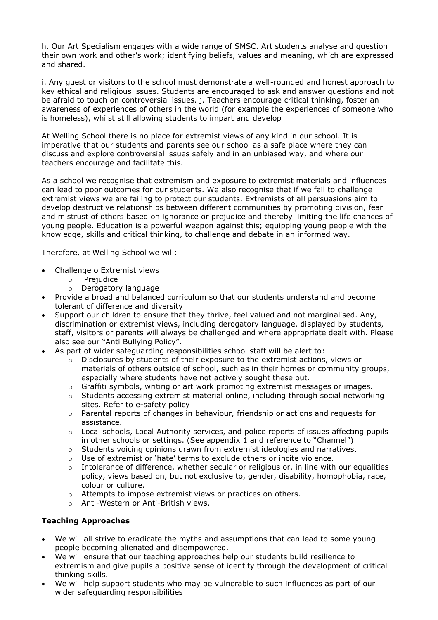h. Our Art Specialism engages with a wide range of SMSC. Art students analyse and question their own work and other's work; identifying beliefs, values and meaning, which are expressed and shared.

i. Any guest or visitors to the school must demonstrate a well-rounded and honest approach to key ethical and religious issues. Students are encouraged to ask and answer questions and not be afraid to touch on controversial issues. j. Teachers encourage critical thinking, foster an awareness of experiences of others in the world (for example the experiences of someone who is homeless), whilst still allowing students to impart and develop

At Welling School there is no place for extremist views of any kind in our school. It is imperative that our students and parents see our school as a safe place where they can discuss and explore controversial issues safely and in an unbiased way, and where our teachers encourage and facilitate this.

As a school we recognise that extremism and exposure to extremist materials and influences can lead to poor outcomes for our students. We also recognise that if we fail to challenge extremist views we are failing to protect our students. Extremists of all persuasions aim to develop destructive relationships between different communities by promoting division, fear and mistrust of others based on ignorance or prejudice and thereby limiting the life chances of young people. Education is a powerful weapon against this; equipping young people with the knowledge, skills and critical thinking, to challenge and debate in an informed way.

Therefore, at Welling School we will:

- Challenge o Extremist views
	- o Prejudice
	- o Derogatory language
- Provide a broad and balanced curriculum so that our students understand and become tolerant of difference and diversity
- Support our children to ensure that they thrive, feel valued and not marginalised. Any, discrimination or extremist views, including derogatory language, displayed by students, staff, visitors or parents will always be challenged and where appropriate dealt with. Please also see our "Anti Bullying Policy".
- As part of wider safeguarding responsibilities school staff will be alert to:
	- o Disclosures by students of their exposure to the extremist actions, views or materials of others outside of school, such as in their homes or community groups, especially where students have not actively sought these out.
	- $\circ$  Graffiti symbols, writing or art work promoting extremist messages or images.
	- $\circ$  Students accessing extremist material online, including through social networking sites. Refer to e-safety policy
	- $\circ$  Parental reports of changes in behaviour, friendship or actions and requests for assistance.
	- $\circ$  Local schools, Local Authority services, and police reports of issues affecting pupils in other schools or settings. (See appendix 1 and reference to "Channel")
	- $\circ$  Students voicing opinions drawn from extremist ideologies and narratives.
	- o Use of extremist or 'hate' terms to exclude others or incite violence.
	- $\circ$  Intolerance of difference, whether secular or religious or, in line with our equalities policy, views based on, but not exclusive to, gender, disability, homophobia, race, colour or culture.
	- o Attempts to impose extremist views or practices on others.
	- o Anti-Western or Anti-British views.

# **Teaching Approaches**

- We will all strive to eradicate the myths and assumptions that can lead to some young people becoming alienated and disempowered.
- We will ensure that our teaching approaches help our students build resilience to extremism and give pupils a positive sense of identity through the development of critical thinking skills.
- We will help support students who may be vulnerable to such influences as part of our wider safeguarding responsibilities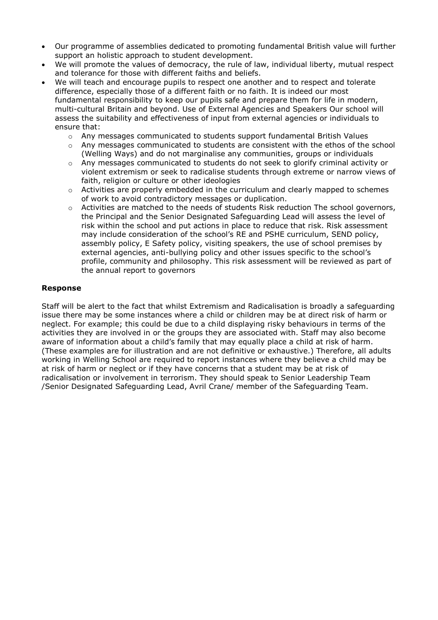- Our programme of assemblies dedicated to promoting fundamental British value will further support an holistic approach to student development.
- We will promote the values of democracy, the rule of law, individual liberty, mutual respect and tolerance for those with different faiths and beliefs.
- We will teach and encourage pupils to respect one another and to respect and tolerate difference, especially those of a different faith or no faith. It is indeed our most fundamental responsibility to keep our pupils safe and prepare them for life in modern, multi-cultural Britain and beyond. Use of External Agencies and Speakers Our school will assess the suitability and effectiveness of input from external agencies or individuals to ensure that:
	- o Any messages communicated to students support fundamental British Values
	- $\circ$  Any messages communicated to students are consistent with the ethos of the school (Welling Ways) and do not marginalise any communities, groups or individuals
	- $\circ$  Any messages communicated to students do not seek to glorify criminal activity or violent extremism or seek to radicalise students through extreme or narrow views of faith, religion or culture or other ideologies
	- $\circ$  Activities are properly embedded in the curriculum and clearly mapped to schemes of work to avoid contradictory messages or duplication.
	- $\circ$  Activities are matched to the needs of students Risk reduction The school governors, the Principal and the Senior Designated Safeguarding Lead will assess the level of risk within the school and put actions in place to reduce that risk. Risk assessment may include consideration of the school's RE and PSHE curriculum, SEND policy, assembly policy, E Safety policy, visiting speakers, the use of school premises by external agencies, anti-bullying policy and other issues specific to the school's profile, community and philosophy. This risk assessment will be reviewed as part of the annual report to governors

## **Response**

Staff will be alert to the fact that whilst Extremism and Radicalisation is broadly a safeguarding issue there may be some instances where a child or children may be at direct risk of harm or neglect. For example; this could be due to a child displaying risky behaviours in terms of the activities they are involved in or the groups they are associated with. Staff may also become aware of information about a child's family that may equally place a child at risk of harm. (These examples are for illustration and are not definitive or exhaustive.) Therefore, all adults working in Welling School are required to report instances where they believe a child may be at risk of harm or neglect or if they have concerns that a student may be at risk of radicalisation or involvement in terrorism. They should speak to Senior Leadership Team /Senior Designated Safeguarding Lead, Avril Crane/ member of the Safeguarding Team.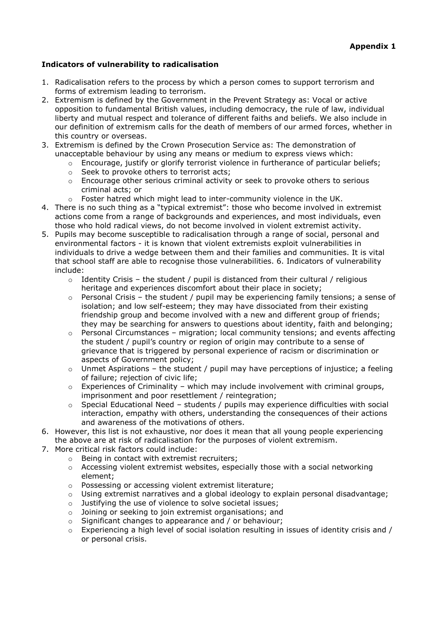# **Indicators of vulnerability to radicalisation**

- 1. Radicalisation refers to the process by which a person comes to support terrorism and forms of extremism leading to terrorism.
- 2. Extremism is defined by the Government in the Prevent Strategy as: Vocal or active opposition to fundamental British values, including democracy, the rule of law, individual liberty and mutual respect and tolerance of different faiths and beliefs. We also include in our definition of extremism calls for the death of members of our armed forces, whether in this country or overseas.
- 3. Extremism is defined by the Crown Prosecution Service as: The demonstration of unacceptable behaviour by using any means or medium to express views which:
	- $\circ$  Encourage, justify or glorify terrorist violence in furtherance of particular beliefs;
	- o Seek to provoke others to terrorist acts;
	- o Encourage other serious criminal activity or seek to provoke others to serious criminal acts; or
	- o Foster hatred which might lead to inter-community violence in the UK.
- 4. There is no such thing as a "typical extremist": those who become involved in extremist actions come from a range of backgrounds and experiences, and most individuals, even those who hold radical views, do not become involved in violent extremist activity.
- 5. Pupils may become susceptible to radicalisation through a range of social, personal and environmental factors - it is known that violent extremists exploit vulnerabilities in individuals to drive a wedge between them and their families and communities. It is vital that school staff are able to recognise those vulnerabilities. 6. Indicators of vulnerability include:
	- $\circ$  Identity Crisis the student / pupil is distanced from their cultural / religious heritage and experiences discomfort about their place in society;
	- $\circ$  Personal Crisis the student / pupil may be experiencing family tensions; a sense of isolation; and low self-esteem; they may have dissociated from their existing friendship group and become involved with a new and different group of friends; they may be searching for answers to questions about identity, faith and belonging;
	- $\circ$  Personal Circumstances migration; local community tensions; and events affecting the student / pupil's country or region of origin may contribute to a sense of grievance that is triggered by personal experience of racism or discrimination or aspects of Government policy;
	- $\circ$  Unmet Aspirations the student / pupil may have perceptions of injustice; a feeling of failure; rejection of civic life;
	- $\circ$  Experiences of Criminality which may include involvement with criminal groups, imprisonment and poor resettlement / reintegration;
	- $\circ$  Special Educational Need students / pupils may experience difficulties with social interaction, empathy with others, understanding the consequences of their actions and awareness of the motivations of others.
- 6. However, this list is not exhaustive, nor does it mean that all young people experiencing the above are at risk of radicalisation for the purposes of violent extremism.
- 7. More critical risk factors could include:
	- o Being in contact with extremist recruiters;
	- $\circ$  Accessing violent extremist websites, especially those with a social networking element;
	- o Possessing or accessing violent extremist literature;
	- $\circ$  Using extremist narratives and a global ideology to explain personal disadvantage;
	- o Justifying the use of violence to solve societal issues;
	- o Joining or seeking to join extremist organisations; and
	- o Significant changes to appearance and / or behaviour;
	- $\circ$  Experiencing a high level of social isolation resulting in issues of identity crisis and / or personal crisis.